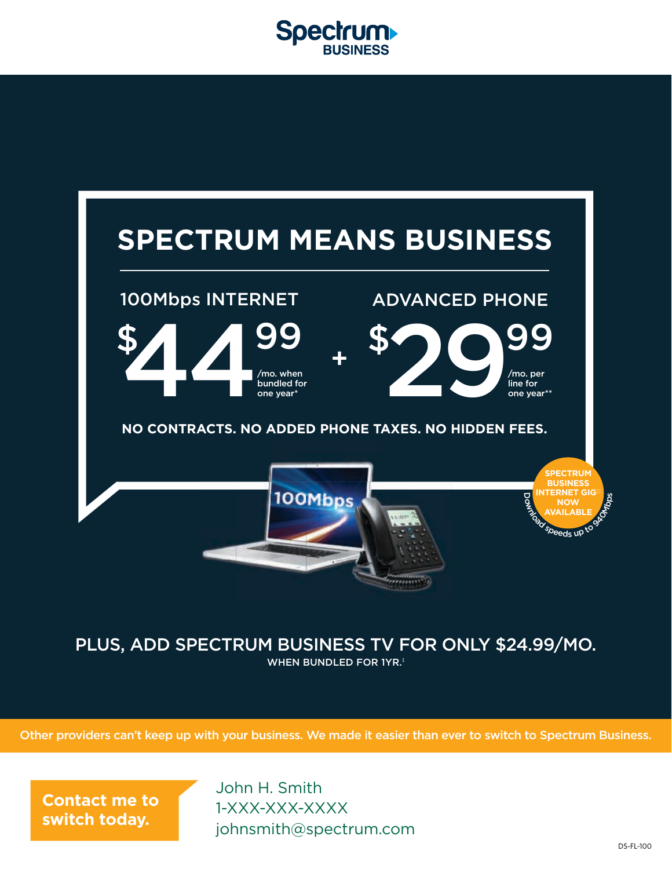



#### PLUS, ADD SPECTRUM BUSINESS TV FOR ONLY \$24.99/MO. WHEN BUNDLED FOR 1YR.<sup>‡</sup>

Other providers can't keep up with your business. We made it easier than ever to switch to Spectrum Business.

**Contact me to switch today.**

John H. Smith 1-XXX-XXX-XXXX johnsmith@spectrum.com